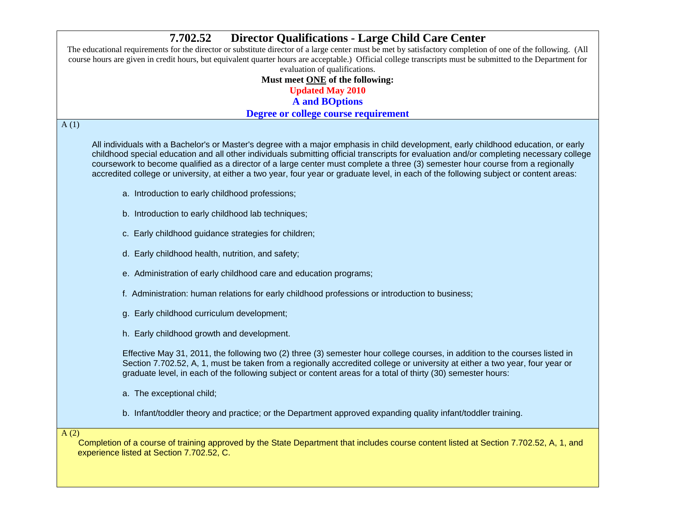# **7.702.52 Director Qualifications - Large Child Care Center**  The educational requirements for the director or substitute director of a large center must be met by satisfactory completion of one of the following. (All course hours are given in credit hours, but equivalent quarter hours are acceptable.) Official college transcripts must be submitted to the Department for evaluation of qualifications. **Must meet ONE of the following: Updated May 2010 A and BOptions Degree or college course requirement**  $A(1)$ All individuals with a Bachelor's or Master's degree with a major emphasis in child development, early childhood education, or early childhood special education and all other individuals submitting official transcripts for evaluation and/or completing necessary college coursework to become qualified as a director of a large center must complete a three (3) semester hour course from a regionally accredited college or university, at either a two year, four year or graduate level, in each of the following subject or content areas: a. Introduction to early childhood professions; b. Introduction to early childhood lab techniques; c. Early childhood guidance strategies for children; d. Early childhood health, nutrition, and safety; e. Administration of early childhood care and education programs; f. Administration: human relations for early childhood professions or introduction to business; g. Early childhood curriculum development; h. Early childhood growth and development. Effective May 31, 2011, the following two (2) three (3) semester hour college courses, in addition to the courses listed in Section 7.702.52, A, 1, must be taken from a regionally accredited college or university at either a two year, four year or graduate level, in each of the following subject or content areas for a total of thirty (30) semester hours: a. The exceptional child; b. Infant/toddler theory and practice; or the Department approved expanding quality infant/toddler training. A (2) Completion of a course of training approved by the State Department that includes course content listed at Section 7.702.52, A, 1, and experience listed at Section 7.702.52, C.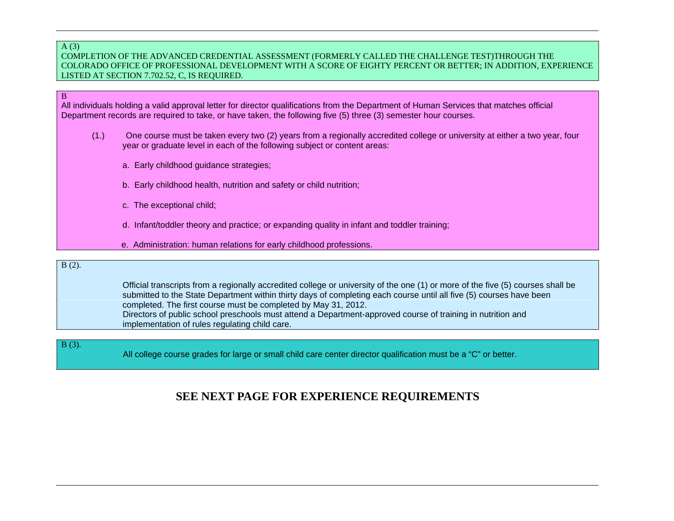#### A (3) COMPLETION OF THE ADVANCED CREDENTIAL ASSESSMENT (FORMERLY CALLED THE CHALLENGE TEST)THROUGH THE COLORADO OFFICE OF PROFESSIONAL DEVELOPMENT WITH A SCORE OF EIGHTY PERCENT OR BETTER; IN ADDITION, EXPERIENCE LISTED AT SECTION 7.702.52, C, IS REQUIRED.

All individuals holding a valid approval letter for director qualifications from the Department of Human Services that matches official Department records are required to take, or have taken, the following five (5) three (3) semester hour courses.

- (1.) One course must be taken every two (2) years from a regionally accredited college or university at either a two year, four year or graduate level in each of the following subject or content areas:
	- a. Early childhood guidance strategies;
	- b. Early childhood health, nutrition and safety or child nutrition;
	- c. The exceptional child;
	- d. Infant/toddler theory and practice; or expanding quality in infant and toddler training;
	- e. Administration: human relations for early childhood professions.

#### B (2).

B

 Official transcripts from a regionally accredited college or university of the one (1) or more of the five (5) courses shall be submitted to the State Department within thirty days of completing each course until all five (5) courses have been completed. The first course must be completed by May 31, 2012. Directors of public school preschools must attend a Department-approved course of training in nutrition and implementation of rules regulating child care.

B (3).

All college course grades for large or small child care center director qualification must be a "C" or better.

## **SEE NEXT PAGE FOR EXPERIENCE REQUIREMENTS**